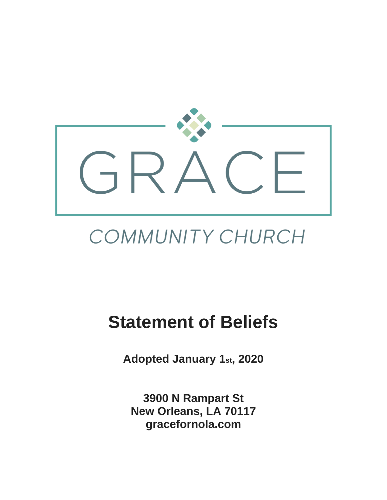

# COMMUNITY CHURCH

# **Statement of Beliefs**

**Adopted January 1st, 2020**

**3900 N Rampart St New Orleans, LA 70117 gracefornola.com**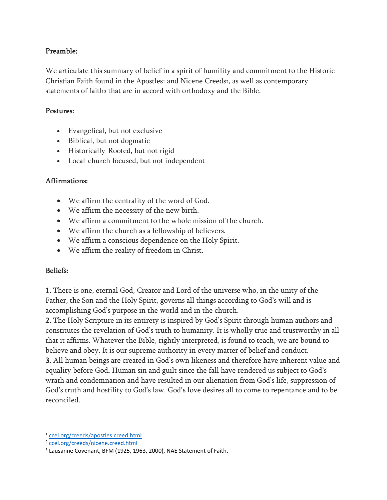# Preamble:

We articulate this summary of belief in a spirit of humility and commitment to the Historic Christian Faith found in the Apostles<sup>1</sup> and Nicene Creeds2, as well as contemporary statements of faith3 that are in accord with orthodoxy and the Bible.

#### Postures:

- Evangelical, but not exclusive
- Biblical, but not dogmatic
- Historically-Rooted, but not rigid
- Local-church focused, but not independent

# Affirmations:

- We affirm the centrality of the word of God.
- We affirm the necessity of the new birth.
- We affirm a commitment to the whole mission of the church.
- We affirm the church as a fellowship of believers.
- We affirm a conscious dependence on the Holy Spirit.
- We affirm the reality of freedom in Christ.

# Beliefs:

1. There is one, eternal God, Creator and Lord of the universe who, in the unity of the Father, the Son and the Holy Spirit, governs all things according to God's will and is accomplishing God's purpose in the world and in the church.

2. The Holy Scripture in its entirety is inspired by God's Spirit through human authors and constitutes the revelation of God's truth to humanity. It is wholly true and trustworthy in all that it affirms. Whatever the Bible, rightly interpreted, is found to teach, we are bound to believe and obey. It is our supreme authority in every matter of belief and conduct.

3. All human beings are created in God's own likeness and therefore have inherent value and equality before God. Human sin and guilt since the fall have rendered us subject to God's wrath and condemnation and have resulted in our alienation from God's life, suppression of God's truth and hostility to God's law. God's love desires all to come to repentance and to be reconciled.

<sup>1</sup> [ccel.org/creeds/apostles.creed.html](https://www.ccel.org/creeds/apostles.creed.html)

<sup>2</sup> [ccel.org/creeds/nicene.creed.html](https://www.ccel.org/creeds/nicene.creed.html)

<sup>3</sup> Lausanne Covenant, BFM (1925, 1963, 2000), NAE Statement of Faith.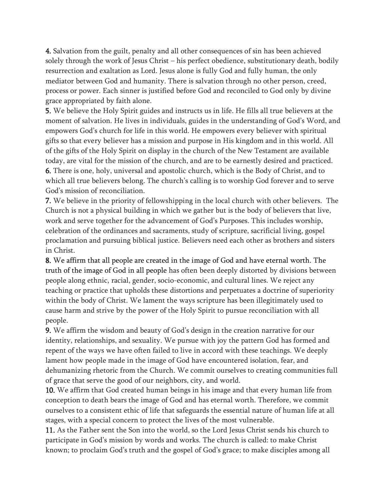4. Salvation from the guilt, penalty and all other consequences of sin has been achieved solely through the work of Jesus Christ – his perfect obedience, substitutionary death, bodily resurrection and exaltation as Lord. Jesus alone is fully God and fully human, the only mediator between God and humanity. There is salvation through no other person, creed, process or power. Each sinner is justified before God and reconciled to God only by divine grace appropriated by faith alone.

5. We believe the Holy Spirit guides and instructs us in life. He fills all true believers at the moment of salvation. He lives in individuals, guides in the understanding of God's Word, and empowers God's church for life in this world. He empowers every believer with spiritual gifts so that every believer has a mission and purpose in His kingdom and in this world. All of the gifts of the Holy Spirit on display in the church of the New Testament are available today, are vital for the mission of the church, and are to be earnestly desired and practiced.

6. There is one, holy, universal and apostolic church, which is the Body of Christ, and to which all true believers belong. The church's calling is to worship God forever and to serve God's mission of reconciliation.

7. We believe in the priority of fellowshipping in the local church with other believers. The Church is not a physical building in which we gather but is the body of believers that live, work and serve together for the advancement of God's Purposes. This includes worship, celebration of the ordinances and sacraments, study of scripture, sacrificial living, gospel proclamation and pursuing biblical justice. Believers need each other as brothers and sisters in Christ.

8. We affirm that all people are created in the image of God and have eternal worth. The truth of the image of God in all people has often been deeply distorted by divisions between people along ethnic, racial, gender, socio-economic, and cultural lines. We reject any teaching or practice that upholds these distortions and perpetuates a doctrine of superiority within the body of Christ. We lament the ways scripture has been illegitimately used to cause harm and strive by the power of the Holy Spirit to pursue reconciliation with all people.

9. We affirm the wisdom and beauty of God's design in the creation narrative for our identity, relationships, and sexuality. We pursue with joy the pattern God has formed and repent of the ways we have often failed to live in accord with these teachings. We deeply lament how people made in the image of God have encountered isolation, fear, and dehumanizing rhetoric from the Church. We commit ourselves to creating communities full of grace that serve the good of our neighbors, city, and world.

10. We affirm that God created human beings in his image and that every human life from conception to death bears the image of God and has eternal worth. Therefore, we commit ourselves to a consistent ethic of life that safeguards the essential nature of human life at all stages, with a special concern to protect the lives of the most vulnerable.

11. As the Father sent the Son into the world, so the Lord Jesus Christ sends his church to participate in God's mission by words and works. The church is called: to make Christ known; to proclaim God's truth and the gospel of God's grace; to make disciples among all